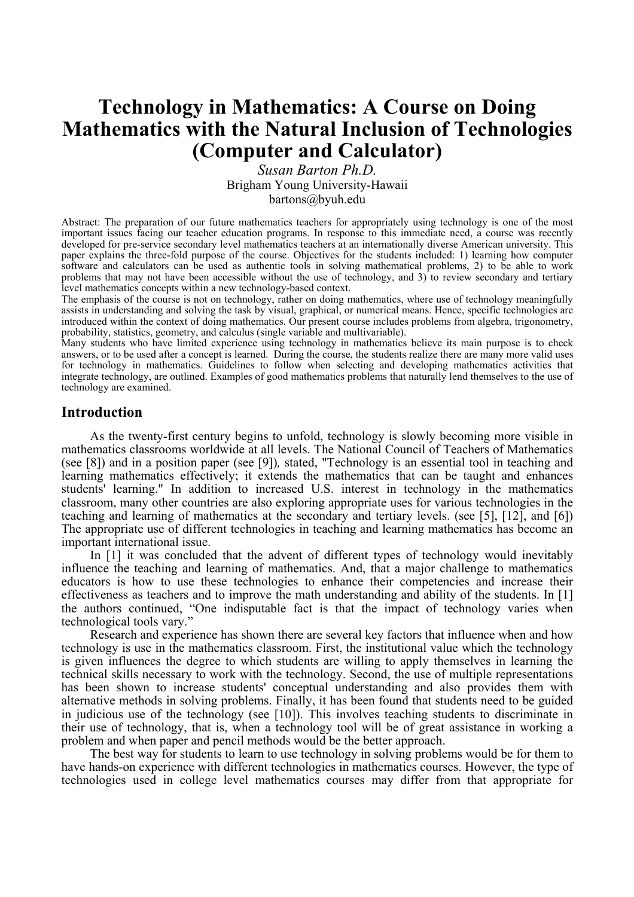# **Technology in Mathematics: A Course on Doing Mathematics with the Natural Inclusion of Technologies (Computer and Calculator)**

*Susan Barton Ph.D.* Brigham Young University-Hawaii bartons@byuh.edu

Abstract: The preparation of our future mathematics teachers for appropriately using technology is one of the most important issues facing our teacher education programs. In response to this immediate need, a course was recently developed for pre-service secondary level mathematics teachers at an internationally diverse American university. This paper explains the three-fold purpose of the course. Objectives for the students included: 1) learning how computer software and calculators can be used as authentic tools in solving mathematical problems, 2) to be able to work problems that may not have been accessible without the use of technology, and 3) to review secondary and tertiary level mathematics concepts within a new technology-based context.

The emphasis of the course is not on technology, rather on doing mathematics, where use of technology meaningfully assists in understanding and solving the task by visual, graphical, or numerical means. Hence, specific technologies are introduced within the context of doing mathematics. Our present course includes problems from algebra, trigonometry, probability, statistics, geometry, and calculus (single variable and multivariable).

Many students who have limited experience using technology in mathematics believe its main purpose is to check answers, or to be used after a concept is learned. During the course, the students realize there are many more valid uses for technology in mathematics. Guidelines to follow when selecting and developing mathematics activities that integrate technology, are outlined. Examples of good mathematics problems that naturally lend themselves to the use of technology are examined.

# **Introduction**

As the twenty-first century begins to unfold, technology is slowly becoming more visible in mathematics classrooms worldwide at all levels. The National Council of Teachers of Mathematics (see [8]) and in a position paper (see [9])*,* stated, "Technology is an essential tool in teaching and learning mathematics effectively; it extends the mathematics that can be taught and enhances students' learning." In addition to increased U.S. interest in technology in the mathematics classroom, many other countries are also exploring appropriate uses for various technologies in the teaching and learning of mathematics at the secondary and tertiary levels. (see [5], [12], and [6]) The appropriate use of different technologies in teaching and learning mathematics has become an important international issue.

In [1] it was concluded that the advent of different types of technology would inevitably influence the teaching and learning of mathematics. And, that a major challenge to mathematics educators is how to use these technologies to enhance their competencies and increase their effectiveness as teachers and to improve the math understanding and ability of the students. In [1] the authors continued, "One indisputable fact is that the impact of technology varies when technological tools vary."

Research and experience has shown there are several key factors that influence when and how technology is use in the mathematics classroom. First, the institutional value which the technology is given influences the degree to which students are willing to apply themselves in learning the technical skills necessary to work with the technology. Second, the use of multiple representations has been shown to increase students' conceptual understanding and also provides them with alternative methods in solving problems. Finally, it has been found that students need to be guided in judicious use of the technology (see [10]). This involves teaching students to discriminate in their use of technology, that is, when a technology tool will be of great assistance in working a problem and when paper and pencil methods would be the better approach.

The best way for students to learn to use technology in solving problems would be for them to have hands-on experience with different technologies in mathematics courses. However, the type of technologies used in college level mathematics courses may differ from that appropriate for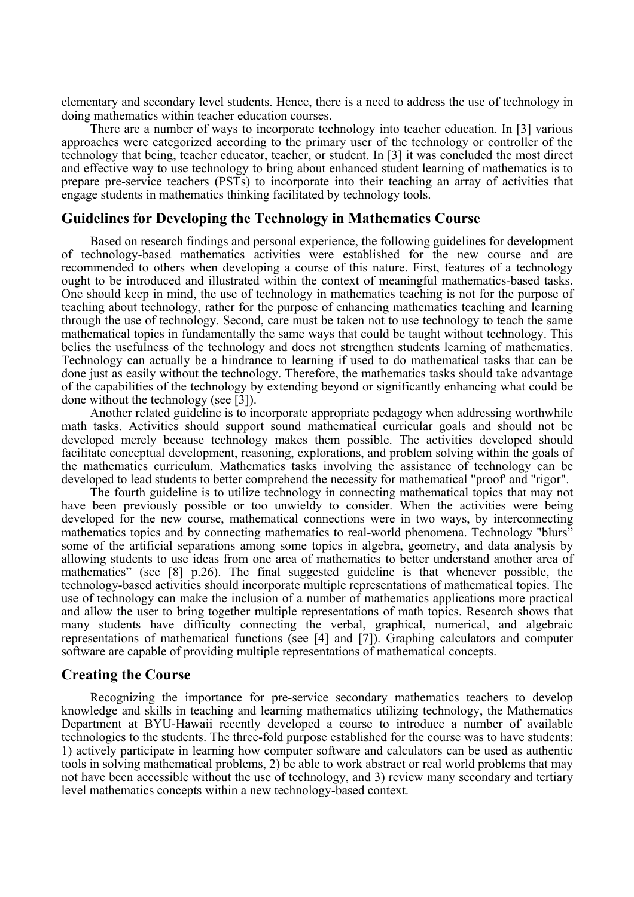elementary and secondary level students. Hence, there is a need to address the use of technology in doing mathematics within teacher education courses.

There are a number of ways to incorporate technology into teacher education. In [3] various approaches were categorized according to the primary user of the technology or controller of the technology that being, teacher educator, teacher, or student. In [3] it was concluded the most direct and effective way to use technology to bring about enhanced student learning of mathematics is to prepare pre-service teachers (PSTs) to incorporate into their teaching an array of activities that engage students in mathematics thinking facilitated by technology tools.

# **Guidelines for Developing the Technology in Mathematics Course**

Based on research findings and personal experience, the following guidelines for development of technology-based mathematics activities were established for the new course and are recommended to others when developing a course of this nature. First, features of a technology ought to be introduced and illustrated within the context of meaningful mathematics-based tasks. One should keep in mind, the use of technology in mathematics teaching is not for the purpose of teaching about technology, rather for the purpose of enhancing mathematics teaching and learning through the use of technology. Second, care must be taken not to use technology to teach the same mathematical topics in fundamentally the same ways that could be taught without technology. This belies the usefulness of the technology and does not strengthen students learning of mathematics. Technology can actually be a hindrance to learning if used to do mathematical tasks that can be done just as easily without the technology. Therefore, the mathematics tasks should take advantage of the capabilities of the technology by extending beyond or significantly enhancing what could be done without the technology (see [3]).

Another related guideline is to incorporate appropriate pedagogy when addressing worthwhile math tasks. Activities should support sound mathematical curricular goals and should not be developed merely because technology makes them possible. The activities developed should facilitate conceptual development, reasoning, explorations, and problem solving within the goals of the mathematics curriculum. Mathematics tasks involving the assistance of technology can be developed to lead students to better comprehend the necessity for mathematical "proof' and "rigor".

The fourth guideline is to utilize technology in connecting mathematical topics that may not have been previously possible or too unwieldy to consider. When the activities were being developed for the new course, mathematical connections were in two ways, by interconnecting mathematics topics and by connecting mathematics to real-world phenomena. Technology "blurs" some of the artificial separations among some topics in algebra, geometry, and data analysis by allowing students to use ideas from one area of mathematics to better understand another area of mathematics" (see [8] p.26). The final suggested guideline is that whenever possible, the technology-based activities should incorporate multiple representations of mathematical topics. The use of technology can make the inclusion of a number of mathematics applications more practical and allow the user to bring together multiple representations of math topics. Research shows that many students have difficulty connecting the verbal, graphical, numerical, and algebraic representations of mathematical functions (see [4] and [7]). Graphing calculators and computer software are capable of providing multiple representations of mathematical concepts.

# **Creating the Course**

Recognizing the importance for pre-service secondary mathematics teachers to develop knowledge and skills in teaching and learning mathematics utilizing technology, the Mathematics Department at BYU-Hawaii recently developed a course to introduce a number of available technologies to the students. The three-fold purpose established for the course was to have students: 1) actively participate in learning how computer software and calculators can be used as authentic tools in solving mathematical problems, 2) be able to work abstract or real world problems that may not have been accessible without the use of technology, and 3) review many secondary and tertiary level mathematics concepts within a new technology-based context.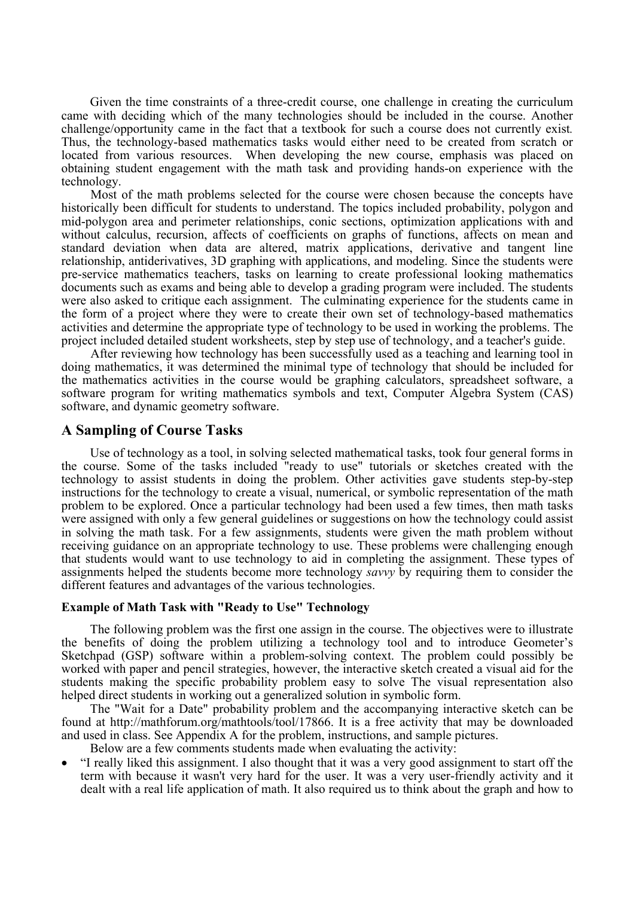Given the time constraints of a three-credit course, one challenge in creating the curriculum came with deciding which of the many technologies should be included in the course. Another challenge/opportunity came in the fact that a textbook for such a course does not currently exist*.*  Thus, the technology-based mathematics tasks would either need to be created from scratch or located from various resources. When developing the new course, emphasis was placed on obtaining student engagement with the math task and providing hands-on experience with the technology.

Most of the math problems selected for the course were chosen because the concepts have historically been difficult for students to understand. The topics included probability, polygon and mid-polygon area and perimeter relationships, conic sections, optimization applications with and without calculus, recursion, affects of coefficients on graphs of functions, affects on mean and standard deviation when data are altered, matrix applications, derivative and tangent line relationship, antiderivatives, 3D graphing with applications, and modeling. Since the students were pre-service mathematics teachers, tasks on learning to create professional looking mathematics documents such as exams and being able to develop a grading program were included. The students were also asked to critique each assignment. The culminating experience for the students came in the form of a project where they were to create their own set of technology-based mathematics activities and determine the appropriate type of technology to be used in working the problems. The project included detailed student worksheets, step by step use of technology, and a teacher's guide.

After reviewing how technology has been successfully used as a teaching and learning tool in doing mathematics, it was determined the minimal type of technology that should be included for the mathematics activities in the course would be graphing calculators, spreadsheet software, a software program for writing mathematics symbols and text, Computer Algebra System (CAS) software, and dynamic geometry software.

# **A Sampling of Course Tasks**

Use of technology as a tool, in solving selected mathematical tasks, took four general forms in the course. Some of the tasks included "ready to use" tutorials or sketches created with the technology to assist students in doing the problem. Other activities gave students step-by-step instructions for the technology to create a visual, numerical, or symbolic representation of the math problem to be explored. Once a particular technology had been used a few times, then math tasks were assigned with only a few general guidelines or suggestions on how the technology could assist in solving the math task. For a few assignments, students were given the math problem without receiving guidance on an appropriate technology to use. These problems were challenging enough that students would want to use technology to aid in completing the assignment. These types of assignments helped the students become more technology *savvy* by requiring them to consider the different features and advantages of the various technologies.

# **Example of Math Task with "Ready to Use" Technology**

The following problem was the first one assign in the course. The objectives were to illustrate the benefits of doing the problem utilizing a technology tool and to introduce Geometer's Sketchpad (GSP) software within a problem-solving context. The problem could possibly be worked with paper and pencil strategies, however, the interactive sketch created a visual aid for the students making the specific probability problem easy to solve The visual representation also helped direct students in working out a generalized solution in symbolic form.

The "Wait for a Date" probability problem and the accompanying interactive sketch can be found at http://mathforum.org/mathtools/tool/17866. It is a free activity that may be downloaded and used in class. See Appendix A for the problem, instructions, and sample pictures.

Below are a few comments students made when evaluating the activity:

• "I really liked this assignment. I also thought that it was a very good assignment to start off the term with because it wasn't very hard for the user. It was a very user-friendly activity and it dealt with a real life application of math. It also required us to think about the graph and how to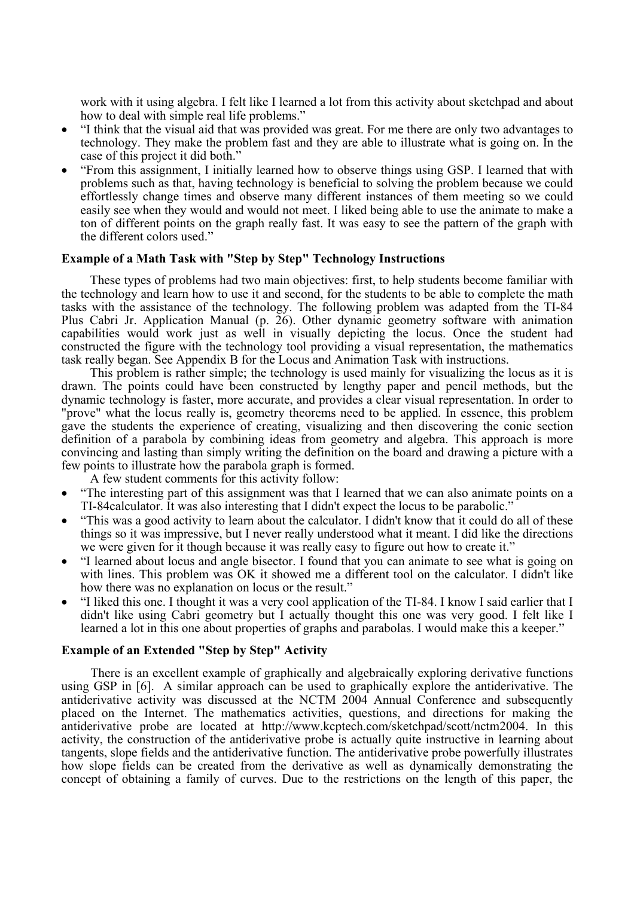work with it using algebra. I felt like I learned a lot from this activity about sketchpad and about how to deal with simple real life problems."

- "I think that the visual aid that was provided was great. For me there are only two advantages to technology. They make the problem fast and they are able to illustrate what is going on. In the case of this project it did both."
- "From this assignment, I initially learned how to observe things using GSP. I learned that with problems such as that, having technology is beneficial to solving the problem because we could effortlessly change times and observe many different instances of them meeting so we could easily see when they would and would not meet. I liked being able to use the animate to make a ton of different points on the graph really fast. It was easy to see the pattern of the graph with the different colors used."

### **Example of a Math Task with "Step by Step" Technology Instructions**

These types of problems had two main objectives: first, to help students become familiar with the technology and learn how to use it and second, for the students to be able to complete the math tasks with the assistance of the technology. The following problem was adapted from the TI-84 Plus Cabri Jr. Application Manual (p. 26). Other dynamic geometry software with animation capabilities would work just as well in visually depicting the locus. Once the student had constructed the figure with the technology tool providing a visual representation, the mathematics task really began. See Appendix B for the Locus and Animation Task with instructions.

This problem is rather simple; the technology is used mainly for visualizing the locus as it is drawn. The points could have been constructed by lengthy paper and pencil methods, but the dynamic technology is faster, more accurate, and provides a clear visual representation. In order to "prove" what the locus really is, geometry theorems need to be applied. In essence, this problem gave the students the experience of creating, visualizing and then discovering the conic section definition of a parabola by combining ideas from geometry and algebra. This approach is more convincing and lasting than simply writing the definition on the board and drawing a picture with a few points to illustrate how the parabola graph is formed.

A few student comments for this activity follow:

- "The interesting part of this assignment was that I learned that we can also animate points on a TI-84calculator. It was also interesting that I didn't expect the locus to be parabolic."
- "This was a good activity to learn about the calculator. I didn't know that it could do all of these things so it was impressive, but I never really understood what it meant. I did like the directions we were given for it though because it was really easy to figure out how to create it."
- "I learned about locus and angle bisector. I found that you can animate to see what is going on with lines. This problem was OK it showed me a different tool on the calculator. I didn't like how there was no explanation on locus or the result."
- "I liked this one. I thought it was a very cool application of the TI-84. I know I said earlier that I didn't like using Cabri geometry but I actually thought this one was very good. I felt like I learned a lot in this one about properties of graphs and parabolas. I would make this a keeper."

### **Example of an Extended "Step by Step" Activity**

There is an excellent example of graphically and algebraically exploring derivative functions using GSP in [6]. A similar approach can be used to graphically explore the antiderivative. The antiderivative activity was discussed at the NCTM 2004 Annual Conference and subsequently placed on the Internet. The mathematics activities, questions, and directions for making the antiderivative probe are located at http://www.kcptech.com/sketchpad/scott/nctm2004. In this activity, the construction of the antiderivative probe is actually quite instructive in learning about tangents, slope fields and the antiderivative function. The antiderivative probe powerfully illustrates how slope fields can be created from the derivative as well as dynamically demonstrating the concept of obtaining a family of curves. Due to the restrictions on the length of this paper, the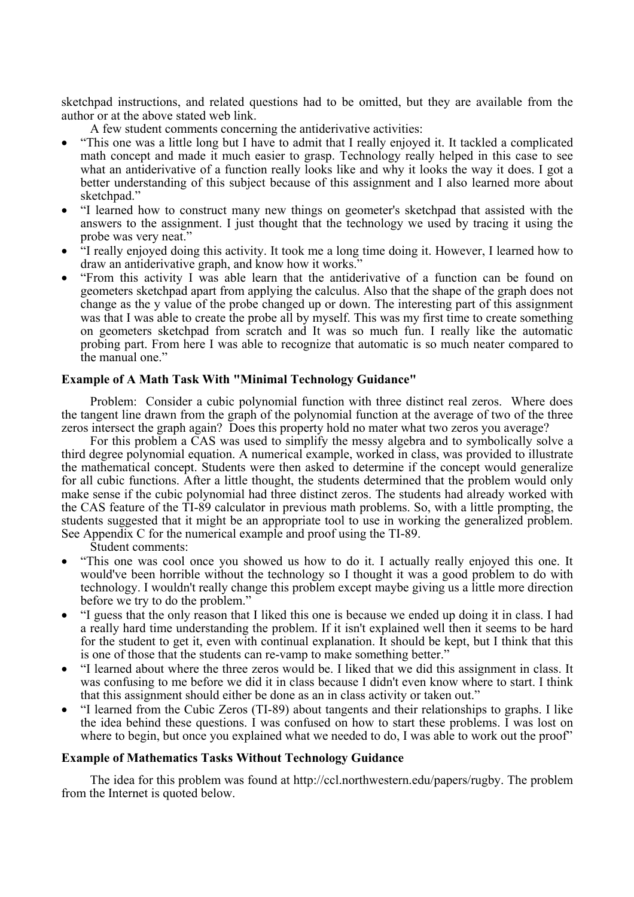sketchpad instructions, and related questions had to be omitted, but they are available from the author or at the above stated web link.

- A few student comments concerning the antiderivative activities:
- "This one was a little long but I have to admit that I really enjoyed it. It tackled a complicated math concept and made it much easier to grasp. Technology really helped in this case to see what an antiderivative of a function really looks like and why it looks the way it does. I got a better understanding of this subject because of this assignment and I also learned more about sketchpad."
- "I learned how to construct many new things on geometer's sketchpad that assisted with the answers to the assignment. I just thought that the technology we used by tracing it using the probe was very neat."
- "I really enjoyed doing this activity. It took me a long time doing it. However, I learned how to draw an antiderivative graph, and know how it works."
- "From this activity I was able learn that the antiderivative of a function can be found on geometers sketchpad apart from applying the calculus. Also that the shape of the graph does not change as the y value of the probe changed up or down. The interesting part of this assignment was that I was able to create the probe all by myself. This was my first time to create something on geometers sketchpad from scratch and It was so much fun. I really like the automatic probing part. From here I was able to recognize that automatic is so much neater compared to the manual one."

# **Example of A Math Task With "Minimal Technology Guidance"**

Problem: Consider a cubic polynomial function with three distinct real zeros. Where does the tangent line drawn from the graph of the polynomial function at the average of two of the three zeros intersect the graph again? Does this property hold no mater what two zeros you average?

For this problem a CAS was used to simplify the messy algebra and to symbolically solve a third degree polynomial equation. A numerical example, worked in class, was provided to illustrate the mathematical concept. Students were then asked to determine if the concept would generalize for all cubic functions. After a little thought, the students determined that the problem would only make sense if the cubic polynomial had three distinct zeros. The students had already worked with the CAS feature of the TI-89 calculator in previous math problems. So, with a little prompting, the students suggested that it might be an appropriate tool to use in working the generalized problem. See Appendix C for the numerical example and proof using the TI-89.

Student comments:

- "This one was cool once you showed us how to do it. I actually really enjoyed this one. It would've been horrible without the technology so I thought it was a good problem to do with technology. I wouldn't really change this problem except maybe giving us a little more direction before we try to do the problem."
- "I guess that the only reason that I liked this one is because we ended up doing it in class. I had a really hard time understanding the problem. If it isn't explained well then it seems to be hard for the student to get it, even with continual explanation. It should be kept, but I think that this is one of those that the students can re-vamp to make something better."
- "I learned about where the three zeros would be. I liked that we did this assignment in class. It was confusing to me before we did it in class because I didn't even know where to start. I think that this assignment should either be done as an in class activity or taken out."
- "I learned from the Cubic Zeros (TI-89) about tangents and their relationships to graphs. I like the idea behind these questions. I was confused on how to start these problems. I was lost on where to begin, but once you explained what we needed to do, I was able to work out the proof"

# **Example of Mathematics Tasks Without Technology Guidance**

The idea for this problem was found at http://ccl.northwestern.edu/papers/rugby. The problem from the Internet is quoted below.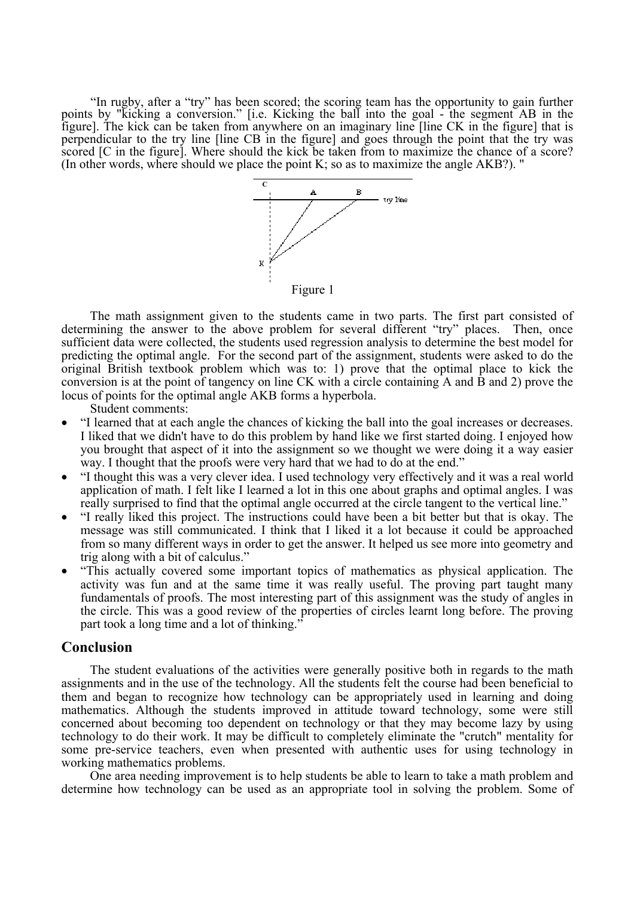"In rugby, after a "try" has been scored; the scoring team has the opportunity to gain further points by "kicking a conversion." [i.e. Kicking the ball into the goal - the segment AB in the figure]. The kick can be taken from anywhere on an imaginary line [line CK in the figure] that is perpendicular to the try line [line CB in the figure] and goes through the point that the try was scored [C in the figure]. Where should the kick be taken from to maximize the chance of a score? (In other words, where should we place the point K; so as to maximize the angle AKB?). "



The math assignment given to the students came in two parts. The first part consisted of determining the answer to the above problem for several different "try" places. Then, once sufficient data were collected, the students used regression analysis to determine the best model for predicting the optimal angle. For the second part of the assignment, students were asked to do the original British textbook problem which was to: 1) prove that the optimal place to kick the conversion is at the point of tangency on line CK with a circle containing A and B and 2) prove the locus of points for the optimal angle AKB forms a hyperbola.

Student comments:

- "I learned that at each angle the chances of kicking the ball into the goal increases or decreases. I liked that we didn't have to do this problem by hand like we first started doing. I enjoyed how you brought that aspect of it into the assignment so we thought we were doing it a way easier way. I thought that the proofs were very hard that we had to do at the end."
- "I thought this was a very clever idea. I used technology very effectively and it was a real world application of math. I felt like I learned a lot in this one about graphs and optimal angles. I was really surprised to find that the optimal angle occurred at the circle tangent to the vertical line."
- "I really liked this project. The instructions could have been a bit better but that is okay. The message was still communicated. I think that I liked it a lot because it could be approached from so many different ways in order to get the answer. It helped us see more into geometry and trig along with a bit of calculus."
- "This actually covered some important topics of mathematics as physical application. The activity was fun and at the same time it was really useful. The proving part taught many fundamentals of proofs. The most interesting part of this assignment was the study of angles in the circle. This was a good review of the properties of circles learnt long before. The proving part took a long time and a lot of thinking."

# **Conclusion**

The student evaluations of the activities were generally positive both in regards to the math assignments and in the use of the technology. All the students felt the course had been beneficial to them and began to recognize how technology can be appropriately used in learning and doing mathematics. Although the students improved in attitude toward technology, some were still concerned about becoming too dependent on technology or that they may become lazy by using technology to do their work. It may be difficult to completely eliminate the "crutch" mentality for some pre-service teachers, even when presented with authentic uses for using technology in working mathematics problems.

One area needing improvement is to help students be able to learn to take a math problem and determine how technology can be used as an appropriate tool in solving the problem. Some of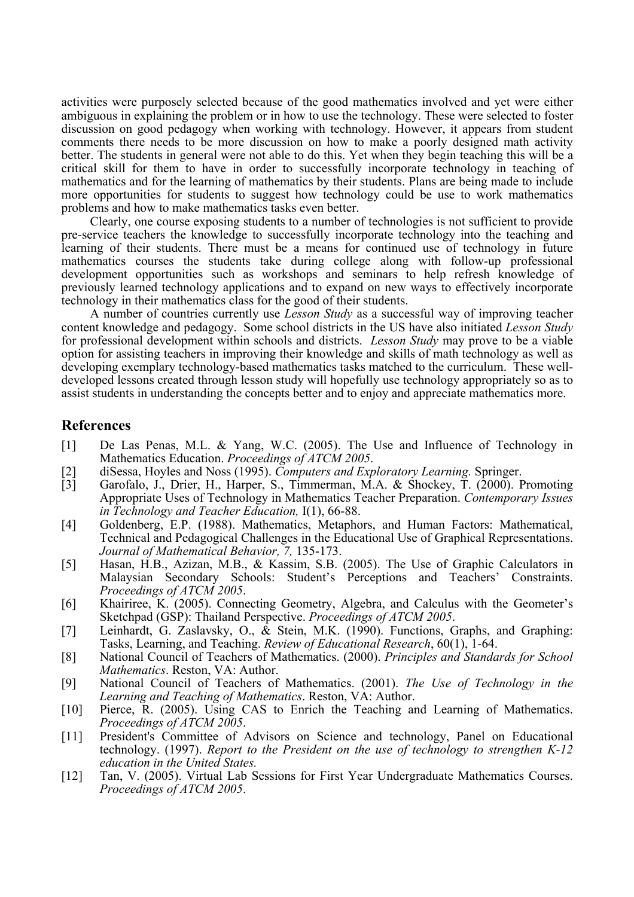activities were purposely selected because of the good mathematics involved and yet were either ambiguous in explaining the problem or in how to use the technology. These were selected to foster discussion on good pedagogy when working with technology. However, it appears from student comments there needs to be more discussion on how to make a poorly designed math activity better. The students in general were not able to do this. Yet when they begin teaching this will be a critical skill for them to have in order to successfully incorporate technology in teaching of mathematics and for the learning of mathematics by their students. Plans are being made to include more opportunities for students to suggest how technology could be use to work mathematics problems and how to make mathematics tasks even better.

Clearly, one course exposing students to a number of technologies is not sufficient to provide pre-service teachers the knowledge to successfully incorporate technology into the teaching and learning of their students. There must be a means for continued use of technology in future mathematics courses the students take during college along with follow-up professional development opportunities such as workshops and seminars to help refresh knowledge of previously learned technology applications and to expand on new ways to effectively incorporate technology in their mathematics class for the good of their students.

A number of countries currently use *Lesson Study* as a successful way of improving teacher content knowledge and pedagogy. Some school districts in the US have also initiated *Lesson Study* for professional development within schools and districts. *Lesson Study* may prove to be a viable option for assisting teachers in improving their knowledge and skills of math technology as well as developing exemplary technology-based mathematics tasks matched to the curriculum. These welldeveloped lessons created through lesson study will hopefully use technology appropriately so as to assist students in understanding the concepts better and to enjoy and appreciate mathematics more.

# **References**

- [1] De Las Penas, M.L. & Yang, W.C. (2005). The Use and Influence of Technology in Mathematics Education. *Proceedings of ATCM 2005*.
- [2] diSessa, Hoyles and Noss (1995). *Computers and Exploratory Learning.* Springer.
- [3] Garofalo, J., Drier, H., Harper, S., Timmerman, M.A. & Shockey, T. (2000). Promoting Appropriate Uses of Technology in Mathematics Teacher Preparation. *Contemporary Issues in Technology and Teacher Education,* I(1), 66-88.
- [4] Goldenberg, E.P. (1988). Mathematics, Metaphors, and Human Factors: Mathematical, Technical and Pedagogical Challenges in the Educational Use of Graphical Representations. *Journal of Mathematical Behavior, 7,* 135-173.
- [5] Hasan, H.B., Azizan, M.B., & Kassim, S.B. (2005). The Use of Graphic Calculators in Malaysian Secondary Schools: Student's Perceptions and Teachers' Constraints. *Proceedings of ATCM 2005*.
- [6] Khairiree, K. (2005). Connecting Geometry, Algebra, and Calculus with the Geometer's Sketchpad (GSP): Thailand Perspective. *Proceedings of ATCM 2005*.
- [7] Leinhardt, G. Zaslavsky, O., & Stein, M.K. (1990). Functions, Graphs, and Graphing: Tasks, Learning, and Teaching. *Review of Educational Research*, 60(1), 1-64.
- [8] National Council of Teachers of Mathematics. (2000). *Principles and Standards for School Mathematics*. Reston, VA: Author.
- [9] National Council of Teachers of Mathematics. (2001). *The Use of Technology in the Learning and Teaching of Mathematics*. Reston, VA: Author.
- [10] Pierce, R. (2005). Using CAS to Enrich the Teaching and Learning of Mathematics. *Proceedings of ATCM 2005*.
- [11] President's Committee of Advisors on Science and technology, Panel on Educational technology. (1997). *Report to the President on the use of technology to strengthen K-12 education in the United States.*
- [12] Tan, V. (2005). Virtual Lab Sessions for First Year Undergraduate Mathematics Courses. *Proceedings of ATCM 2005*.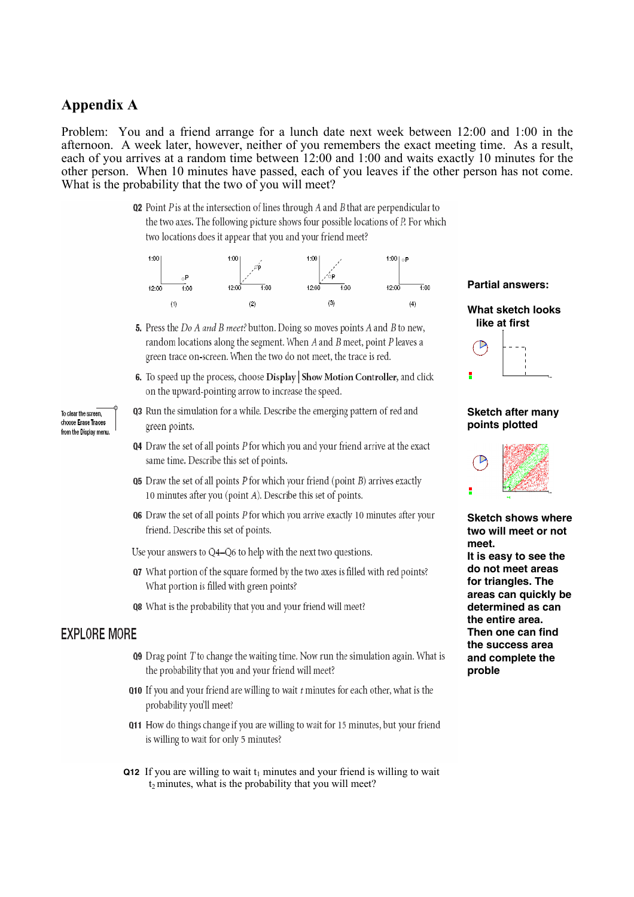# **Appendix A**

Problem: You and a friend arrange for a lunch date next week between 12:00 and 1:00 in the afternoon. A week later, however, neither of you remembers the exact meeting time. As a result, each of you arrives at a random time between 12:00 and 1:00 and waits exactly 10 minutes for the other person. When 10 minutes have passed, each of you leaves if the other person has not come. What is the probability that the two of you will meet?

> $Q2$  Point  $P$  is at the intersection of lines through  $A$  and  $B$  that are perpendicular to the two axes. The following picture shows four possible locations of P. For which two locations does it appear that you and your friend meet?



- 5. Press the Do A and B meet? button. Doing so moves points A and B to new, random locations along the segment. When  $A$  and  $B$  meet, point  $P$  leaves a green trace on-screen. When the two do not meet, the trace is red.
- 6. To speed up the process, choose Display Show Motion Controller, and click on the upward-pointing arrow to increase the speed.
- **03** Run the simulation for a while. Describe the emerging pattern of red and green points.
- Q4 Draw the set of all points P for which you and your friend arrive at the exact same time. Describe this set of points.
- **Q5** Draw the set of all points  $P$  for which your friend (point  $B$ ) arrives exactly 10 minutes after you (point A). Describe this set of points.
- $Q6$  Draw the set of all points  $P$  for which you arrive exactly 10 minutes after your friend. Describe this set of points.

Use your answers to Q4-Q6 to help with the next two questions.

- Q7 What portion of the square formed by the two axes is filled with red points? What portion is filled with green points?
- **Q8** What is the probability that you and your friend will meet?

# **EXPLORE MORE**

- $Q9$  Drag point  $T$  to change the waiting time. Now run the simulation again. What is the probability that you and your friend will meet?
- Q10 If you and your friend are willing to wait t minutes for each other, what is the probability you'll meet?
- Q11 How do things change if you are willing to wait for 15 minutes, but your friend is willing to wait for only 5 minutes?
- **Q12** If you are willing to wait  $t_1$  minutes and your friend is willing to wait  $t_2$  minutes, what is the probability that you will meet?

#### **Partial answers:**



#### **Sketch after many points plotted**



**Sketch shows where two will meet or not meet. It is easy to see the do not meet areas for triangles. The areas can quickly be determined as can the entire area. Then one can find the success area and complete the proble** 

To clear the screen, choose Erase Traces from the Display menu.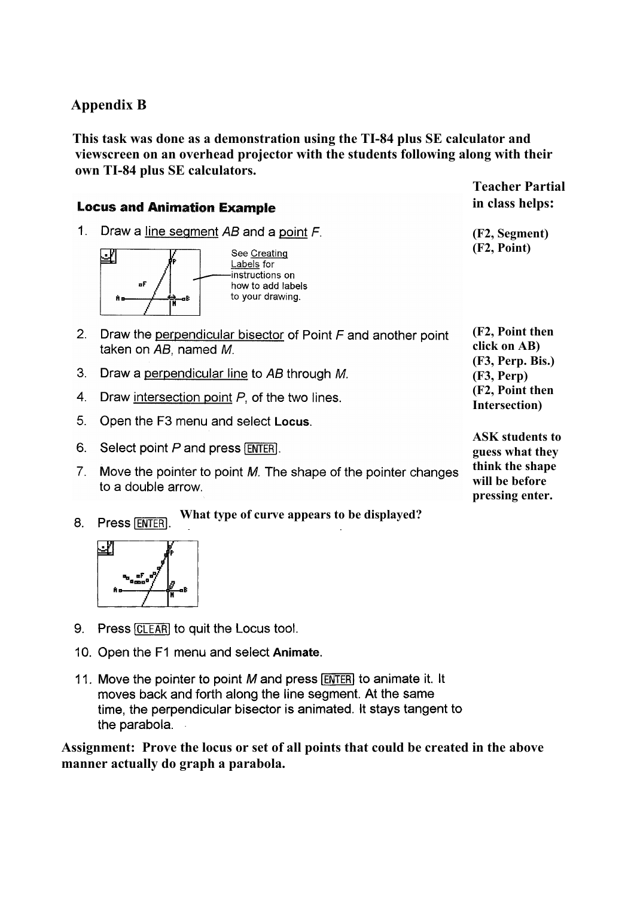# **Appendix B**

 **This task was done as a demonstration using the TI-84 plus SE calculator and viewscreen on an overhead projector with the students following along with their own TI-84 plus SE calculators.** 

# **Locus and Animation Example**

1. Draw a line segment AB and a point F.



See Creating Labels for instructions on how to add labels to your drawing.

- 2. Draw the perpendicular bisector of Point  $F$  and another point taken on AB, named M.
- 3. Draw a perpendicular line to AB through M.
- 4. Draw intersection point  $P$ , of the two lines.
- 5. Open the F3 menu and select Locus.
- 6. Select point P and press [ENTER].
- 7. Move the pointer to point M. The shape of the pointer changes to a double arrow.

**Teacher Partial in class helps:** 

**(F2, Segment) (F2, Point)** 

**(F2, Point then click on AB) (F3, Perp. Bis.) (F3, Perp) (F2, Point then Intersection)** 

**ASK students to guess what they think the shape will be before pressing enter.**

**What type of curve appears to be displayed? Press [ENTER]** 8



- 9. Press [CLEAR] to quit the Locus tool.
- 10. Open the F1 menu and select Animate.
- 11. Move the pointer to point M and press [ENTER] to animate it. It moves back and forth along the line segment. At the same time, the perpendicular bisector is animated. It stays tangent to the parabola.

**Assignment: Prove the locus or set of all points that could be created in the above manner actually do graph a parabola.**